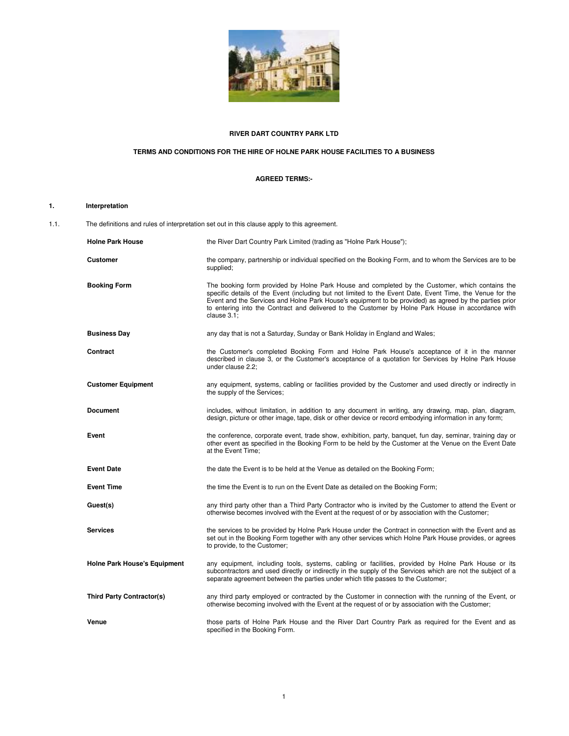

# **RIVER DART COUNTRY PARK LTD**

# **TERMS AND CONDITIONS FOR THE HIRE OF HOLNE PARK HOUSE FACILITIES TO A BUSINESS**

# **AGREED TERMS:-**

# **1. Interpretation**

1.1. The definitions and rules of interpretation set out in this clause apply to this agreement.

| <b>Holne Park House</b>             | the River Dart Country Park Limited (trading as "Holne Park House");                                                                                                                                                                                                                                                                                                                                                                        |
|-------------------------------------|---------------------------------------------------------------------------------------------------------------------------------------------------------------------------------------------------------------------------------------------------------------------------------------------------------------------------------------------------------------------------------------------------------------------------------------------|
| <b>Customer</b>                     | the company, partnership or individual specified on the Booking Form, and to whom the Services are to be<br>supplied;                                                                                                                                                                                                                                                                                                                       |
| <b>Booking Form</b>                 | The booking form provided by Holne Park House and completed by the Customer, which contains the<br>specific details of the Event (including but not limited to the Event Date, Event Time, the Venue for the<br>Event and the Services and Holne Park House's equipment to be provided) as agreed by the parties prior<br>to entering into the Contract and delivered to the Customer by Holne Park House in accordance with<br>clause 3.1; |
| <b>Business Day</b>                 | any day that is not a Saturday, Sunday or Bank Holiday in England and Wales;                                                                                                                                                                                                                                                                                                                                                                |
| Contract                            | the Customer's completed Booking Form and Holne Park House's acceptance of it in the manner<br>described in clause 3, or the Customer's acceptance of a quotation for Services by Holne Park House<br>under clause 2.2:                                                                                                                                                                                                                     |
| <b>Customer Equipment</b>           | any equipment, systems, cabling or facilities provided by the Customer and used directly or indirectly in<br>the supply of the Services;                                                                                                                                                                                                                                                                                                    |
| <b>Document</b>                     | includes, without limitation, in addition to any document in writing, any drawing, map, plan, diagram,<br>design, picture or other image, tape, disk or other device or record embodying information in any form;                                                                                                                                                                                                                           |
| Event                               | the conference, corporate event, trade show, exhibition, party, banquet, fun day, seminar, training day or<br>other event as specified in the Booking Form to be held by the Customer at the Venue on the Event Date<br>at the Event Time;                                                                                                                                                                                                  |
| <b>Event Date</b>                   | the date the Event is to be held at the Venue as detailed on the Booking Form;                                                                                                                                                                                                                                                                                                                                                              |
| <b>Event Time</b>                   | the time the Event is to run on the Event Date as detailed on the Booking Form;                                                                                                                                                                                                                                                                                                                                                             |
| Guest(s)                            | any third party other than a Third Party Contractor who is invited by the Customer to attend the Event or<br>otherwise becomes involved with the Event at the request of or by association with the Customer;                                                                                                                                                                                                                               |
| <b>Services</b>                     | the services to be provided by Holne Park House under the Contract in connection with the Event and as<br>set out in the Booking Form together with any other services which Holne Park House provides, or agrees<br>to provide, to the Customer;                                                                                                                                                                                           |
| <b>Holne Park House's Equipment</b> | any equipment, including tools, systems, cabling or facilities, provided by Holne Park House or its<br>subcontractors and used directly or indirectly in the supply of the Services which are not the subject of a<br>separate agreement between the parties under which title passes to the Customer;                                                                                                                                      |
| <b>Third Party Contractor(s)</b>    | any third party employed or contracted by the Customer in connection with the running of the Event, or<br>otherwise becoming involved with the Event at the request of or by association with the Customer;                                                                                                                                                                                                                                 |
| Venue                               | those parts of Holne Park House and the River Dart Country Park as required for the Event and as<br>specified in the Booking Form.                                                                                                                                                                                                                                                                                                          |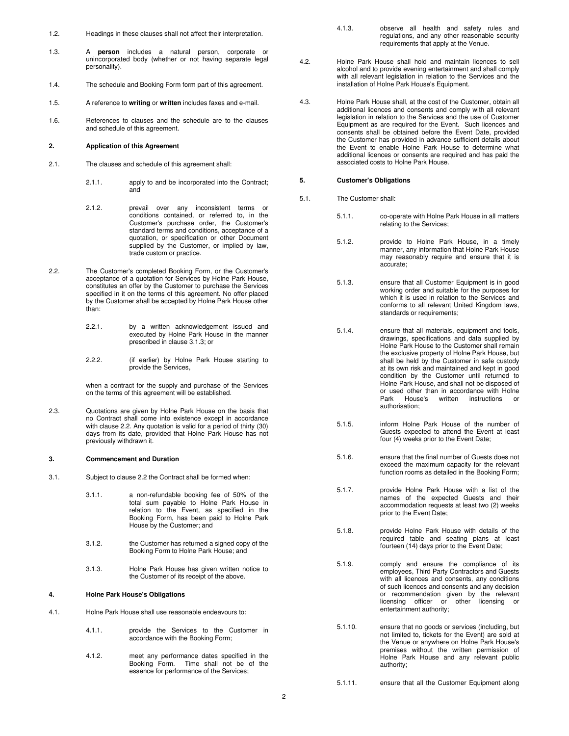- 1.2. Headings in these clauses shall not affect their interpretation.
- 1.3. A **person** includes a natural person, corporate or unincorporated body (whether or not having separate legal personality).
- 1.4. The schedule and Booking Form form part of this agreement.
- 1.5. A reference to **writing** or **written** includes faxes and e-mail.
- 1.6. References to clauses and the schedule are to the clauses and schedule of this agreement.

#### **2. Application of this Agreement**

- 2.1. The clauses and schedule of this agreement shall:
	- 2.1.1. apply to and be incorporated into the Contract; and
	- 2.1.2. prevail over any inconsistent terms or conditions contained, or referred to, in the Customer's purchase order, the Customer's standard terms and conditions, acceptance of a quotation, or specification or other Document supplied by the Customer, or implied by law, trade custom or practice.
- 2.2. The Customer's completed Booking Form, or the Customer's acceptance of a quotation for Services by Holne Park House, constitutes an offer by the Customer to purchase the Services specified in it on the terms of this agreement. No offer placed by the Customer shall be accepted by Holne Park House other than:
	- 2.2.1. by a written acknowledgement issued and executed by Holne Park House in the manner prescribed in clause 3.1.3; or
	- 2.2.2. (if earlier) by Holne Park House starting to provide the Services,

when a contract for the supply and purchase of the Services on the terms of this agreement will be established.

2.3. Quotations are given by Holne Park House on the basis that no Contract shall come into existence except in accordance with clause 2.2. Any quotation is valid for a period of thirty (30) days from its date, provided that Holne Park House has not previously withdrawn it.

# **3. Commencement and Duration**

3.1. Subject to clause 2.2 the Contract shall be formed when:

3.1.1. a non-refundable booking fee of 50% of the total sum payable to Holne Park House in relation to the Event, as specified in the Booking Form, has been paid to Holne Park House by the Customer; and

- 3.1.2. the Customer has returned a signed copy of the Booking Form to Holne Park House; and
- 3.1.3. Holne Park House has given written notice to the Customer of its receipt of the above.

# **4. Holne Park House's Obligations**

- 4.1. Holne Park House shall use reasonable endeavours to:
	- 4.1.1. provide the Services to the Customer in accordance with the Booking Form;
	- 4.1.2. meet any performance dates specified in the Booking Form. Time shall not be of the essence for performance of the Services;
- 4.1.3. observe all health and safety rules and regulations, and any other reasonable security requirements that apply at the Venue.
- 4.2. Holne Park House shall hold and maintain licences to sell alcohol and to provide evening entertainment and shall comply with all relevant legislation in relation to the Services and the installation of Holne Park House's Equipment.
- 4.3. Holne Park House shall, at the cost of the Customer, obtain all additional licences and consents and comply with all relevant legislation in relation to the Services and the use of Customer Equipment as are required for the Event. Such licences and consents shall be obtained before the Event Date, provided the Customer has provided in advance sufficient details about the Event to enable Holne Park House to determine what additional licences or consents are required and has paid the associated costs to Holne Park House.

# **5. Customer's Obligations**

- 5.1. The Customer shall:
	- 5.1.1. co-operate with Holne Park House in all matters relating to the Services;
	- 5.1.2. provide to Holne Park House, in a timely manner, any information that Holne Park House may reasonably require and ensure that it is accurate;
	- 5.1.3. ensure that all Customer Equipment is in good working order and suitable for the purposes for which it is used in relation to the Services and conforms to all relevant United Kingdom laws, standards or requirements:
	- 5.1.4. ensure that all materials, equipment and tools, drawings, specifications and data supplied by Holne Park House to the Customer shall remain the exclusive property of Holne Park House, but shall be held by the Customer in safe custody at its own risk and maintained and kept in good condition by the Customer until returned to Holne Park House, and shall not be disposed of or used other than in accordance with Holne<br>Park House's written instructions or Park House's written instructions or authorisation;
	- 5.1.5. inform Holne Park House of the number of Guests expected to attend the Event at least four (4) weeks prior to the Event Date;
	- 5.1.6. ensure that the final number of Guests does not exceed the maximum capacity for the relevant function rooms as detailed in the Booking Form;
	- 5.1.7. provide Holne Park House with a list of the names of the expected Guests and their accommodation requests at least two (2) weeks prior to the Event Date;
	- 5.1.8. provide Holne Park House with details of the required table and seating plans at least fourteen (14) days prior to the Event Date;
	- 5.1.9. comply and ensure the compliance of its employees, Third Party Contractors and Guests with all licences and consents, any conditions of such licences and consents and any decision or recommendation given by the relevant licensing officer or other licensing or entertainment authority;
	- 5.1.10. ensure that no goods or services (including, but not limited to, tickets for the Event) are sold at the Venue or anywhere on Holne Park House's premises without the written permission of Holne Park House and any relevant public authority;
	- 5.1.11. ensure that all the Customer Equipment along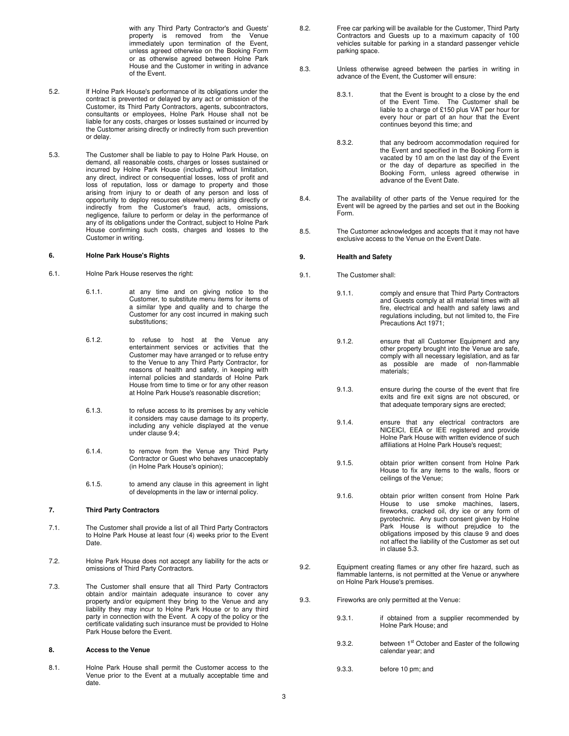with any Third Party Contractor's and Guests' property is removed from the Venue immediately upon termination of the Event, unless agreed otherwise on the Booking Form or as otherwise agreed between Holne Park House and the Customer in writing in advance of the Event.

- 5.2. If Holne Park House's performance of its obligations under the contract is prevented or delayed by any act or omission of the Customer, its Third Party Contractors, agents, subcontractors, consultants or employees, Holne Park House shall not be liable for any costs, charges or losses sustained or incurred by the Customer arising directly or indirectly from such prevention or delay.
- 5.3. The Customer shall be liable to pay to Holne Park House, on demand, all reasonable costs, charges or losses sustained or incurred by Holne Park House (including, without limitation, any direct, indirect or consequential losses, loss of profit and loss of reputation, loss or damage to property and those arising from injury to or death of any person and loss of opportunity to deploy resources elsewhere) arising directly or indirectly from the Customer's fraud, acts, omissions, negligence, failure to perform or delay in the performance of any of its obligations under the Contract, subject to Holne Park House confirming such costs, charges and losses to the Customer in writing.

## **6. Holne Park House's Rights**

- 6.1. Holne Park House reserves the right:
	- 6.1.1. at any time and on giving notice to the Customer, to substitute menu items for items of a similar type and quality and to charge the Customer for any cost incurred in making such substitutions;
	- 6.1.2. to refuse to host at the Venue any entertainment services or activities that the Customer may have arranged or to refuse entry to the Venue to any Third Party Contractor, for reasons of health and safety, in keeping with internal policies and standards of Holne Park House from time to time or for any other reason at Holne Park House's reasonable discretion;
	- 6.1.3. to refuse access to its premises by any vehicle it considers may cause damage to its property, including any vehicle displayed at the venue under clause 9.4;
	- 6.1.4. to remove from the Venue any Third Party Contractor or Guest who behaves unacceptably (in Holne Park House's opinion);
	- 6.1.5. to amend any clause in this agreement in light of developments in the law or internal policy.

# **7. Third Party Contractors**

- 7.1. The Customer shall provide a list of all Third Party Contractors to Holne Park House at least four (4) weeks prior to the Event Date.
- 7.2. Holne Park House does not accept any liability for the acts or omissions of Third Party Contractors.
- 7.3. The Customer shall ensure that all Third Party Contractors obtain and/or maintain adequate insurance to cover any property and/or equipment they bring to the Venue and any liability they may incur to Holne Park House or to any third party in connection with the Event. A copy of the policy or the certificate validating such insurance must be provided to Holne Park House before the Event.

## **8. Access to the Venue**

8.1. Holne Park House shall permit the Customer access to the Venue prior to the Event at a mutually acceptable time and date.

- 8.2. Free car parking will be available for the Customer, Third Party Contractors and Guests up to a maximum capacity of 100 vehicles suitable for parking in a standard passenger vehicle parking space.
- 8.3. Unless otherwise agreed between the parties in writing in advance of the Event, the Customer will ensure:
	- 8.3.1. that the Event is brought to a close by the end of the Event Time. The Customer shall be liable to a charge of £150 plus VAT per hour for every hour or part of an hour that the Event continues beyond this time; and
	- 8.3.2. that any bedroom accommodation required for the Event and specified in the Booking Form is vacated by 10 am on the last day of the Event or the day of departure as specified in the Booking Form, unless agreed otherwise in advance of the Event Date.
- 8.4. The availability of other parts of the Venue required for the Event will be agreed by the parties and set out in the Booking Form.
- 8.5. The Customer acknowledges and accepts that it may not have exclusive access to the Venue on the Event Date.

### **9. Health and Safety**

- 9.1. The Customer shall:
	- 9.1.1. comply and ensure that Third Party Contractors and Guests comply at all material times with all fire, electrical and health and safety laws and regulations including, but not limited to, the Fire Precautions Act 1971;
	- 9.1.2. ensure that all Customer Equipment and any other property brought into the Venue are safe, comply with all necessary legislation, and as far as possible are made of non-flammable materials;
	- 9.1.3. ensure during the course of the event that fire exits and fire exit signs are not obscured, or that adequate temporary signs are erected;
	- 9.1.4. ensure that any electrical contractors are NICEICI, EEA or IEE registered and provide Holne Park House with written evidence of such affiliations at Holne Park House's request;
	- 9.1.5. obtain prior written consent from Holne Park House to fix any items to the walls, floors or ceilings of the Venue;
	- 9.1.6. obtain prior written consent from Holne Park House to use smoke machines, lasers, fireworks, cracked oil, dry ice or any form of pyrotechnic. Any such consent given by Holne Park House is without prejudice to the obligations imposed by this clause 9 and does not affect the liability of the Customer as set out in clause 5.3.
- 9.2. Equipment creating flames or any other fire hazard, such as flammable lanterns, is not permitted at the Venue or anywhere on Holne Park House's premises.
- 9.3. Fireworks are only permitted at the Venue:
	- 9.3.1. if obtained from a supplier recommended by Holne Park House; and
	- 9.3.2. between 1<sup>st</sup> October and Easter of the following calendar year; and
	- 9.3.3. before 10 pm; and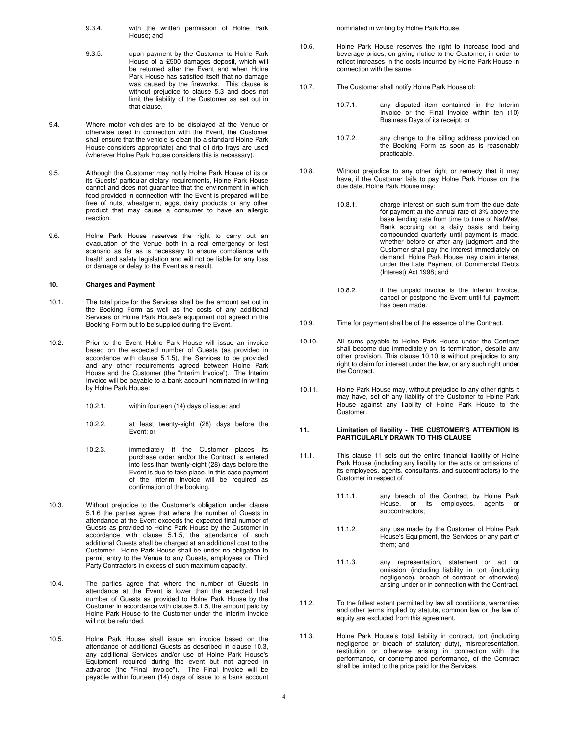- 9.3.4. with the written permission of Holne Park House; and
- 9.3.5. upon payment by the Customer to Holne Park House of a £500 damages deposit, which will be returned after the Event and when Holne Park House has satisfied itself that no damage was caused by the fireworks. This clause is without prejudice to clause 5.3 and does not limit the liability of the Customer as set out in that clause.
- 9.4. Where motor vehicles are to be displayed at the Venue or otherwise used in connection with the Event, the Customer shall ensure that the vehicle is clean (to a standard Holne Park House considers appropriate) and that oil drip trays are used (wherever Holne Park House considers this is necessary).
- 9.5. Although the Customer may notify Holne Park House of its or its Guests' particular dietary requirements, Holne Park House cannot and does not guarantee that the environment in which food provided in connection with the Event is prepared will be free of nuts, wheatgerm, eggs, dairy products or any other product that may cause a consumer to have an allergic reaction.
- 9.6. Holne Park House reserves the right to carry out an evacuation of the Venue both in a real emergency or test scenario as far as is necessary to ensure compliance with health and safety legislation and will not be liable for any loss or damage or delay to the Event as a result.

#### **10. Charges and Payment**

- 10.1. The total price for the Services shall be the amount set out in the Booking Form as well as the costs of any additional Services or Holne Park House's equipment not agreed in the Booking Form but to be supplied during the Event.
- 10.2. Prior to the Event Holne Park House will issue an invoice based on the expected number of Guests (as provided in accordance with clause 5.1.5), the Services to be provided and any other requirements agreed between Holne Park House and the Customer (the "Interim Invoice"). The Interim Invoice will be payable to a bank account nominated in writing by Holne Park House:
	- 10.2.1. within fourteen (14) days of issue; and
	- 10.2.2. at least twenty-eight (28) days before the Event; or
	- 10.2.3. immediately if the Customer places its purchase order and/or the Contract is entered into less than twenty-eight (28) days before the Event is due to take place. In this case payment of the Interim Invoice will be required as confirmation of the booking.
- 10.3. Without prejudice to the Customer's obligation under clause 5.1.6 the parties agree that where the number of Guests in attendance at the Event exceeds the expected final number of Guests as provided to Holne Park House by the Customer in accordance with clause 5.1.5, the attendance of such additional Guests shall be charged at an additional cost to the Customer. Holne Park House shall be under no obligation to permit entry to the Venue to any Guests, employees or Third Party Contractors in excess of such maximum capacity.
- 10.4. The parties agree that where the number of Guests in attendance at the Event is lower than the expected final number of Guests as provided to Holne Park House by the Customer in accordance with clause 5.1.5, the amount paid by Holne Park House to the Customer under the Interim Invoice will not be refunded.
- 10.5. Holne Park House shall issue an invoice based on the attendance of additional Guests as described in clause 10.3, any additional Services and/or use of Holne Park House's Equipment required during the event but not agreed in advance (the "Final Invoice"). The Final Invoice will be payable within fourteen (14) days of issue to a bank account

nominated in writing by Holne Park House.

- 10.6. Holne Park House reserves the right to increase food and beverage prices, on giving notice to the Customer, in order to reflect increases in the costs incurred by Holne Park House in connection with the same.
- 10.7. The Customer shall notify Holne Park House of:
	- 10.7.1. any disputed item contained in the Interim Invoice or the Final Invoice within ten (10) Business Days of its receipt; or
	- 10.7.2. any change to the billing address provided on the Booking Form as soon as is reasonably practicable.
- 10.8. Without prejudice to any other right or remedy that it may have, if the Customer fails to pay Holne Park House on the due date, Holne Park House may:
	- 10.8.1. charge interest on such sum from the due date for payment at the annual rate of 3% above the base lending rate from time to time of NatWest Bank accruing on a daily basis and being compounded quarterly until payment is made, whether before or after any judgment and the Customer shall pay the interest immediately on demand. Holne Park House may claim interest under the Late Payment of Commercial Debts (Interest) Act 1998; and
	- 10.8.2. if the unpaid invoice is the Interim Invoice, cancel or postpone the Event until full payment has been made.
- 10.9. Time for payment shall be of the essence of the Contract.
- 10.10. All sums payable to Holne Park House under the Contract shall become due immediately on its termination, despite any other provision. This clause 10.10 is without prejudice to any right to claim for interest under the law, or any such right under the Contract.
- 10.11. Holne Park House may, without prejudice to any other rights it may have, set off any liability of the Customer to Holne Park House against any liability of Holne Park House to the Customer.

## **11. Limitation of liability - THE CUSTOMER'S ATTENTION IS PARTICULARLY DRAWN TO THIS CLAUSE**

- 11.1. This clause 11 sets out the entire financial liability of Holne Park House (including any liability for the acts or omissions of its employees, agents, consultants, and subcontractors) to the Customer in respect of:
	- 11.1.1. any breach of the Contract by Holne Park House, or its employees, agents or subcontractors;
	- 11.1.2. any use made by the Customer of Holne Park House's Equipment, the Services or any part of them; and
	- 11.1.3. any representation, statement or act or omission (including liability in tort (including negligence), breach of contract or otherwise) arising under or in connection with the Contract.
- 11.2. To the fullest extent permitted by law all conditions, warranties and other terms implied by statute, common law or the law of equity are excluded from this agreement.
- 11.3. Holne Park House's total liability in contract, tort (including negligence or breach of statutory duty), misrepresentation, restitution or otherwise arising in connection with the performance, or contemplated performance, of the Contract shall be limited to the price paid for the Services.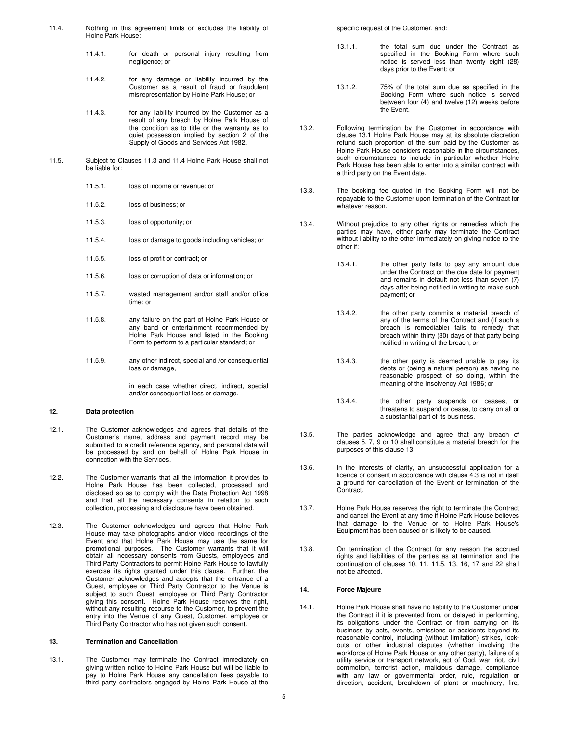- 11.4. Nothing in this agreement limits or excludes the liability of Holne Park House:
	- 11.4.1. for death or personal injury resulting from negligence; or
	- 11.4.2. for any damage or liability incurred by the Customer as a result of fraud or fraudulent misrepresentation by Holne Park House; or
	- 11.4.3. for any liability incurred by the Customer as a result of any breach by Holne Park House of the condition as to title or the warranty as to quiet possession implied by section 2 of the Supply of Goods and Services Act 1982.
- 11.5. Subject to Clauses 11.3 and 11.4 Holne Park House shall not be liable for:
	- 11.5.1. loss of income or revenue; or
	- 11.5.2. loss of business; or
	- 11.5.3. loss of opportunity; or
	- 11.5.4. loss or damage to goods including vehicles; or
	- 11.5.5. loss of profit or contract; or
	- 11.5.6. loss or corruption of data or information; or
	- 11.5.7. wasted management and/or staff and/or office time; or
	- 11.5.8. any failure on the part of Holne Park House or any band or entertainment recommended by Holne Park House and listed in the Booking Form to perform to a particular standard; or
	- 11.5.9. any other indirect, special and /or consequential loss or damage,

in each case whether direct, indirect, special and/or consequential loss or damage.

#### **12. Data protection**

- 12.1. The Customer acknowledges and agrees that details of the Customer's name, address and payment record may be submitted to a credit reference agency, and personal data will be processed by and on behalf of Holne Park House in connection with the Services.
- 12.2. The Customer warrants that all the information it provides to Holne Park House has been collected, processed and disclosed so as to comply with the Data Protection Act 1998 and that all the necessary consents in relation to such collection, processing and disclosure have been obtained.
- 12.3. The Customer acknowledges and agrees that Holne Park House may take photographs and/or video recordings of the Event and that Holne Park House may use the same for promotional purposes. The Customer warrants that it will obtain all necessary consents from Guests, employees and Third Party Contractors to permit Holne Park House to lawfully exercise its rights granted under this clause. Further, the Customer acknowledges and accepts that the entrance of a Guest, employee or Third Party Contractor to the Venue is subject to such Guest, employee or Third Party Contractor giving this consent. Holne Park House reserves the right, without any resulting recourse to the Customer, to prevent the entry into the Venue of any Guest, Customer, employee or Third Party Contractor who has not given such consent.

#### **13. Termination and Cancellation**

13.1. The Customer may terminate the Contract immediately on giving written notice to Holne Park House but will be liable to pay to Holne Park House any cancellation fees payable to third party contractors engaged by Holne Park House at the

specific request of the Customer, and:

- 13.1.1. the total sum due under the Contract as specified in the Booking Form where such notice is served less than twenty eight (28) days prior to the Event; or
- 13.1.2. 75% of the total sum due as specified in the Booking Form where such notice is served between four (4) and twelve (12) weeks before the Event.
- 13.2. Following termination by the Customer in accordance with clause 13.1 Holne Park House may at its absolute discretion refund such proportion of the sum paid by the Customer as Holne Park House considers reasonable in the circumstances, such circumstances to include in particular whether Holne Park House has been able to enter into a similar contract with a third party on the Event date.
- 13.3. The booking fee quoted in the Booking Form will not be repayable to the Customer upon termination of the Contract for whatever reason.
- 13.4. Without prejudice to any other rights or remedies which the parties may have, either party may terminate the Contract without liability to the other immediately on giving notice to the other if:
	- 13.4.1. the other party fails to pay any amount due under the Contract on the due date for payment and remains in default not less than seven (7) days after being notified in writing to make such payment; or
	- 13.4.2. the other party commits a material breach of any of the terms of the Contract and (if such a breach is remediable) fails to remedy that breach within thirty (30) days of that party being notified in writing of the breach; or
		- 13.4.3. the other party is deemed unable to pay its debts or (being a natural person) as having no reasonable prospect of so doing, within the meaning of the Insolvency Act 1986; or
	- 13.4.4. the other party suspends or ceases, or threatens to suspend or cease, to carry on all or a substantial part of its business.
- 13.5. The parties acknowledge and agree that any breach of clauses 5, 7, 9 or 10 shall constitute a material breach for the purposes of this clause 13.
- 13.6. In the interests of clarity, an unsuccessful application for a licence or consent in accordance with clause 4.3 is not in itself a ground for cancellation of the Event or termination of the Contract.
- 13.7. Holne Park House reserves the right to terminate the Contract and cancel the Event at any time if Holne Park House believes that damage to the Venue or to Holne Park House's Equipment has been caused or is likely to be caused.
- 13.8. On termination of the Contract for any reason the accrued rights and liabilities of the parties as at termination and the continuation of clauses 10, 11, 11.5, 13, 16, 17 and 22 shall not be affected.

### **14. Force Majeure**

14.1. Holne Park House shall have no liability to the Customer under the Contract if it is prevented from, or delayed in performing, its obligations under the Contract or from carrying on its business by acts, events, omissions or accidents beyond its reasonable control, including (without limitation) strikes, lockouts or other industrial disputes (whether involving the workforce of Holne Park House or any other party), failure of a utility service or transport network, act of God, war, riot, civil commotion, terrorist action, malicious damage, compliance with any law or governmental order, rule, regulation or direction, accident, breakdown of plant or machinery, fire,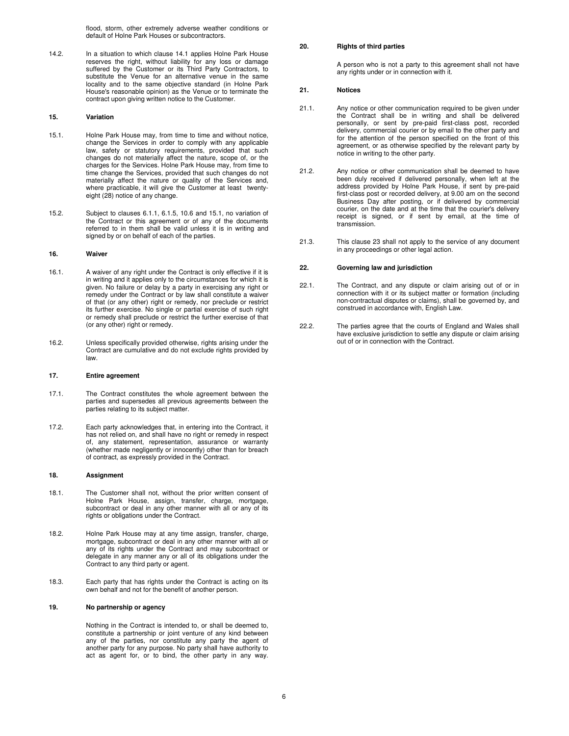flood, storm, other extremely adverse weather conditions or default of Holne Park Houses or subcontractors.

14.2. In a situation to which clause 14.1 applies Holne Park House reserves the right, without liability for any loss or damage suffered by the Customer or its Third Party Contractors, to substitute the Venue for an alternative venue in the same locality and to the same objective standard (in Holne Park House's reasonable opinion) as the Venue or to terminate the contract upon giving written notice to the Customer.

### **15. Variation**

- 15.1. Holne Park House may, from time to time and without notice, change the Services in order to comply with any applicable law, safety or statutory requirements, provided that such changes do not materially affect the nature, scope of, or the charges for the Services. Holne Park House may, from time to time change the Services, provided that such changes do not materially affect the nature or quality of the Services and, where practicable, it will give the Customer at least twentyeight (28) notice of any change.
- 15.2. Subject to clauses 6.1.1, 6.1.5, 10.6 and 15.1, no variation of the Contract or this agreement or of any of the documents referred to in them shall be valid unless it is in writing and signed by or on behalf of each of the parties.

## **16. Waiver**

- 16.1. A waiver of any right under the Contract is only effective if it is in writing and it applies only to the circumstances for which it is given. No failure or delay by a party in exercising any right or remedy under the Contract or by law shall constitute a waiver of that (or any other) right or remedy, nor preclude or restrict its further exercise. No single or partial exercise of such right or remedy shall preclude or restrict the further exercise of that (or any other) right or remedy.
- 16.2. Unless specifically provided otherwise, rights arising under the Contract are cumulative and do not exclude rights provided by law.

## **17. Entire agreement**

- 17.1. The Contract constitutes the whole agreement between the parties and supersedes all previous agreements between the parties relating to its subject matter.
- 17.2. Each party acknowledges that, in entering into the Contract, it has not relied on, and shall have no right or remedy in respect of, any statement, representation, assurance or warranty (whether made negligently or innocently) other than for breach of contract, as expressly provided in the Contract.

## **18. Assignment**

- 18.1. The Customer shall not, without the prior written consent of Holne Park House, assign, transfer, charge, mortgage, subcontract or deal in any other manner with all or any of its rights or obligations under the Contract.
- 18.2. Holne Park House may at any time assign, transfer, charge, mortgage, subcontract or deal in any other manner with all or any of its rights under the Contract and may subcontract or delegate in any manner any or all of its obligations under the Contract to any third party or agent.
- 18.3. Each party that has rights under the Contract is acting on its own behalf and not for the benefit of another person.

## **19. No partnership or agency**

Nothing in the Contract is intended to, or shall be deemed to, constitute a partnership or joint venture of any kind between any of the parties, nor constitute any party the agent of another party for any purpose. No party shall have authority to act as agent for, or to bind, the other party in any way.

# **20. Rights of third parties**

A person who is not a party to this agreement shall not have any rights under or in connection with it.

# **21. Notices**

- 21.1. Any notice or other communication required to be given under the Contract shall be in writing and shall be delivered personally, or sent by pre-paid first-class post, recorded delivery, commercial courier or by email to the other party and for the attention of the person specified on the front of this agreement, or as otherwise specified by the relevant party by notice in writing to the other party.
- 21.2. Any notice or other communication shall be deemed to have been duly received if delivered personally, when left at the address provided by Holne Park House, if sent by pre-paid first-class post or recorded delivery, at 9.00 am on the second Business Day after posting, or if delivered by commercial courier, on the date and at the time that the courier's delivery receipt is signed, or if sent by email, at the time of transmission.
- 21.3. This clause 23 shall not apply to the service of any document in any proceedings or other legal action.

### **22. Governing law and jurisdiction**

- 22.1. The Contract, and any dispute or claim arising out of or in connection with it or its subject matter or formation (including non-contractual disputes or claims), shall be governed by, and construed in accordance with, English Law.
- 22.2. The parties agree that the courts of England and Wales shall have exclusive jurisdiction to settle any dispute or claim arising out of or in connection with the Contract.